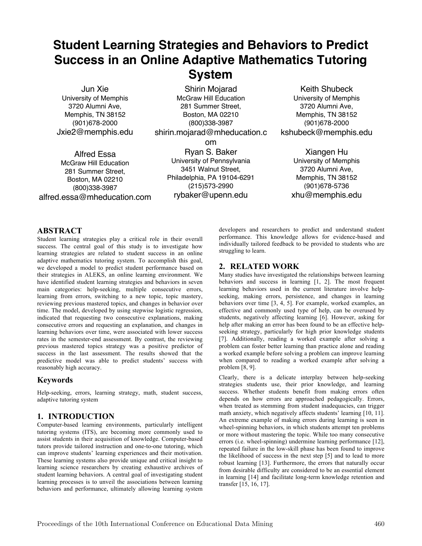# **Student Learning Strategies and Behaviors to Predict Success in an Online Adaptive Mathematics Tutoring System**

Jun Xie University of Memphis 3720 Alumni Ave, Memphis, TN 38152 (901)678-2000 Jxie2@memphis.edu

Shirin Mojarad McGraw Hill Education 281 Summer Street, Boston, MA 02210 (800)338-3987 shirin.mojarad@mheducation.c om

Alfred Essa McGraw Hill Education 281 Summer Street, Boston, MA 02210 (800)338-3987 alfred.essa@mheducation.com

Ryan S. Baker University of Pennsylvania 3451 Walnut Street, Philadelphia, PA 19104-6291 (215)573-2990 rybaker@upenn.edu

Keith Shubeck University of Memphis 3720 Alumni Ave, Memphis, TN 38152 (901)678-2000 kshubeck@memphis.edu

> Xiangen Hu University of Memphis 3720 Alumni Ave, Memphis, TN 38152 (901)678-5736 xhu@memphis.edu

# **ABSTRACT**

Student learning strategies play a critical role in their overall success. The central goal of this study is to investigate how learning strategies are related to student success in an online adaptive mathematics tutoring system. To accomplish this goal, we developed a model to predict student performance based on their strategies in ALEKS, an online learning environment. We have identified student learning strategies and behaviors in seven main categories: help-seeking, multiple consecutive errors, learning from errors, switching to a new topic, topic mastery, reviewing previous mastered topics, and changes in behavior over time. The model, developed by using stepwise logistic regression, indicated that requesting two consecutive explanations, making consecutive errors and requesting an explanation, and changes in learning behaviors over time, were associated with lower success rates in the semester-end assessment. By contrast, the reviewing previous mastered topics strategy was a positive predictor of success in the last assessment. The results showed that the predictive model was able to predict students' success with reasonably high accuracy.

# **Keywords**

Help-seeking, errors, learning strategy, math, student success, adaptive tutoring system

# **1. INTRODUCTION**

Computer-based learning environments, particularly intelligent tutoring systems (ITS), are becoming more commonly used to assist students in their acquisition of knowledge. Computer-based tutors provide tailored instruction and one-to-one tutoring, which can improve students' learning experiences and their motivation. These learning systems also provide unique and critical insight to learning science researchers by creating exhaustive archives of student learning behaviors. A central goal of investigating student learning processes is to unveil the associations between learning behaviors and performance, ultimately allowing learning system

developers and researchers to predict and understand student performance. This knowledge allows for evidence-based and individually tailored feedback to be provided to students who are struggling to learn.

# **2. RELATED WORK**

Many studies have investigated the relationships between learning behaviors and success in learning [1, 2]. The most frequent learning behaviors used in the current literature involve helpseeking, making errors, persistence, and changes in learning behaviors over time [3, 4, 5]. For example, worked examples, an effective and commonly used type of help, can be overused by students, negatively affecting learning [6]. However, asking for help after making an error has been found to be an effective helpseeking strategy, particularly for high prior knowledge students [7]. Additionally, reading a worked example after solving a problem can foster better learning than practice alone and reading a worked example before solving a problem can improve learning when compared to reading a worked example after solving a problem [8, 9].

Clearly, there is a delicate interplay between help-seeking strategies students use, their prior knowledge, and learning success. Whether students benefit from making errors often depends on how errors are approached pedagogically. Errors, when treated as stemming from student inadequacies, can trigger math anxiety, which negatively affects students' learning [10, 11]. An extreme example of making errors during learning is seen in wheel-spinning behaviors, in which students attempt ten problems or more without mastering the topic. While too many consecutive errors (i.e. wheel-spinning) undermine learning performance [12], repeated failure in the low-skill phase has been found to improve the likelihood of success in the next step [5] and to lead to more robust learning [13]. Furthermore, the errors that naturally occur from desirable difficulty are considered to be an essential element in learning [14] and facilitate long-term knowledge retention and transfer [15, 16, 17].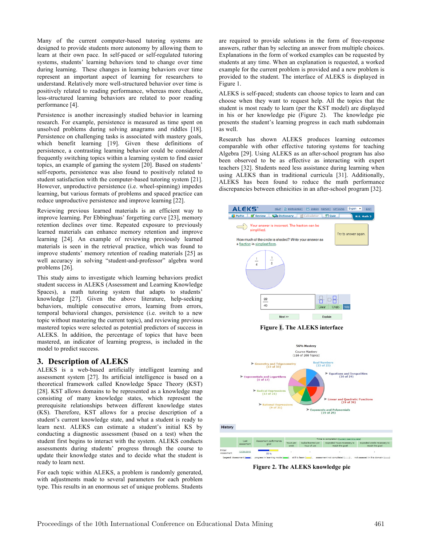Many of the current computer-based tutoring systems are designed to provide students more autonomy by allowing them to learn at their own pace. In self-paced or self-regulated tutoring systems, students' learning behaviors tend to change over time during learning. These changes in learning behaviors over time represent an important aspect of learning for researchers to understand. Relatively more well-structured behavior over time is positively related to reading performance, whereas more chaotic, less-structured learning behaviors are related to poor reading performance [4].

Persistence is another increasingly studied behavior in learning research. For example, persistence is measured as time spent on unsolved problems during solving anagrams and riddles [18]. Persistence on challenging tasks is associated with mastery goals, which benefit learning [19]. Given these definitions of persistence, a contrasting learning behavior could be considered frequently switching topics within a learning system to find easier topics, an example of gaming the system [20]. Based on students' self-reports, persistence was also found to positively related to student satisfaction with the computer-based tutoring system [21]. However, unproductive persistence (i.e. wheel-spinning) impedes learning, but various formats of problems and spaced practice can reduce unproductive persistence and improve learning [22].

Reviewing previous learned materials is an efficient way to improve learning. Per Ebbinghuas' forgetting curve [23], memory retention declines over time. Repeated exposure to previously learned materials can enhance memory retention and improve learning [24]. An example of reviewing previously learned materials is seen in the retrieval practice, which was found to improve students' memory retention of reading materials [25] as well accuracy in solving "student-and-professor" algebra word problems [26].

This study aims to investigate which learning behaviors predict student success in ALEKS (Assessment and Learning Knowledge Spaces), a math tutoring system that adapts to students' knowledge [27]. Given the above literature, help-seeking behaviors, multiple consecutive errors, learning from errors, temporal behavioral changes, persistence (i.e. switch to a new topic without mastering the current topic), and reviewing previous mastered topics were selected as potential predictors of success in ALEKS. In addition, the percentage of topics that have been mastered, an indicator of learning progress, is included in the model to predict success.

# **3. Description of ALEKS**

ALEKS is a web-based artificially intelligent learning and assessment system [27]. Its artificial intelligence is based on a theoretical framework called Knowledge Space Theory (KST) [28]. KST allows domains to be represented as a knowledge map consisting of many knowledge states, which represent the prerequisite relationships between different knowledge states (KS). Therefore, KST allows for a precise description of a student's current knowledge state, and what a student is ready to learn next. ALEKS can estimate a student's initial KS by conducting a diagnostic assessment (based on a test) when the student first begins to interact with the system. ALEKS conducts assessments during students' progress through the course to update their knowledge states and to decide what the student is ready to learn next.

For each topic within ALEKS, a problem is randomly generated, with adjustments made to several parameters for each problem type. This results in an enormous set of unique problems. Students are required to provide solutions in the form of free-response answers, rather than by selecting an answer from multiple choices. Explanations in the form of worked examples can be requested by students at any time. When an explanation is requested, a worked example for the current problem is provided and a new problem is provided to the student. The interface of ALEKS is displayed in Figure 1.

ALEKS is self-paced; students can choose topics to learn and can choose when they want to request help. All the topics that the student is most ready to learn (per the KST model) are displayed in his or her knowledge pie (Figure 2). The knowledge pie presents the student's learning progress in each math subdomain as well.

Research has shown ALEKS produces learning outcomes comparable with other effective tutoring systems for teaching Algebra [29]. Using ALEKS as an after-school program has also been observed to be as effective as interacting with expert teachers [32]. Students need less assistance during learning when using ALEKS than in traditional curricula [31]. Additionally, ALEKS has been found to reduce the math performance discrepancies between ethnicities in an after-school program [32].





**Figure 2. The ALEKS knowledge pie**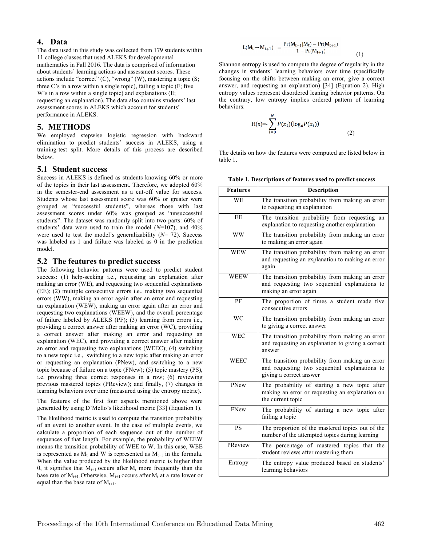## **4. Data**

The data used in this study was collected from 179 students within 11 college classes that used ALEKS for developmental mathematics in Fall 2016. The data is comprised of information about students' learning actions and assessment scores. These actions include "correct" (C), "wrong" (W), mastering a topic (S; three C's in a row within a single topic), failing a topic (F; five W's in a row within a single topic) and explanations (E; requesting an explanation). The data also contains students' last assessment scores in ALEKS which account for students' performance in ALEKS.

### **5. METHODS**

We employed stepwise logistic regression with backward elimination to predict students' success in ALEKS, using a training-test split. More details of this process are described below.

#### **5.1 Student success**

Success in ALEKS is defined as students knowing 60% or more of the topics in their last assessment. Therefore, we adopted 60% in the semester-end assessment as a cut-off value for success. Students whose last assessment score was 60% or greater were grouped as "successful students", whereas those with last assessment scores under 60% was grouped as "unsuccessful students". The dataset was randomly split into two parts: 60% of students' data were used to train the model  $(N=107)$ , and  $40\%$ were used to test the model's generalizability (*N*= 72). Success was labeled as 1 and failure was labeled as 0 in the prediction model.

#### **5.2 The features to predict success**

The following behavior patterns were used to predict student success: (1) help-seeking i.e., requesting an explanation after making an error (WE), and requesting two sequential explanations (EE); (2) multiple consecutive errors i.e., making two sequential errors (WW), making an error again after an error and requesting an explanation (WEW), making an error again after an error and requesting two explanations (WEEW), and the overall percentage of failure labeled by ALEKS (PF); (3) learning from errors i.e., providing a correct answer after making an error (WC), providing a correct answer after making an error and requesting an explanation (WEC), and providing a correct answer after making an error and requesting two explanations (WEEC); (4) switching to a new topic i.e., switching to a new topic after making an error or requesting an explanation (PNew), and switching to a new topic because of failure on a topic (FNew); (5) topic mastery (PS), i.e. providing three correct responses in a row; (6) reviewing previous mastered topics (PReview); and finally, (7) changes in learning behaviors over time (measured using the entropy metric).

The features of the first four aspects mentioned above were generated by using D'Mello's likelihood metric [33] (Equation 1).

The likelihood metric is used to compute the transition probability of an event to another event. In the case of multiple events, we calculate a proportion of each sequence out of the number of sequences of that length. For example, the probability of WEEW means the transition probability of WEE to W. In this case, WEE is represented as  $M_t$  and W is represented as  $M_{t+1}$  in the formula. When the value produced by the likelihood metric is higher than 0, it signifies that  $M_{t+1}$  occurs after  $M_t$  more frequently than the base rate of  $M_{t+1}$ . Otherwise,  $M_{t+1}$  occurs after  $M_t$  at a rate lower or equal than the base rate of  $M_{t+1}$ .

$$
L(M_t \to M_{t+1}) = \frac{Pr(M_{t+1}|M_t) - Pr(M_{t+1})}{1 - Pr(M_{t+1})}
$$
(1)

Shannon entropy is used to compute the degree of regularity in the changes in students' learning behaviors over time (specifically focusing on the shifts between making an error, give a correct answer, and requesting an explanation) [34] (Equation 2). High entropy values represent disordered leaning behavior patterns. On the contrary, low entropy implies ordered pattern of learning behaviors:

$$
H(x) = \sum_{i=0}^{N} P(x_i) (\log_e P(x_i))
$$
\n(2)

The details on how the features were computed are listed below in table 1.

**Table 1. Descriptions of features used to predict success**

| <b>Features</b> | <b>Description</b>                                                                                                          |  |  |
|-----------------|-----------------------------------------------------------------------------------------------------------------------------|--|--|
| <b>WE</b>       | The transition probability from making an error<br>to requesting an explanation                                             |  |  |
| EE              | The transition probability from requesting<br>an<br>explanation to requesting another explanation                           |  |  |
| WW              | The transition probability from making an error<br>to making an error again                                                 |  |  |
| WEW             | The transition probability from making an error<br>and requesting an explanation to making an error<br>again                |  |  |
| <b>WEEW</b>     | The transition probability from making an error<br>and requesting two sequential explanations to<br>making an error again   |  |  |
| PF              | The proportion of times a student made five<br>consecutive errors                                                           |  |  |
| WC              | The transition probability from making an error<br>to giving a correct answer                                               |  |  |
| <b>WEC</b>      | The transition probability from making an error<br>and requesting an explanation to giving a correct<br>answer              |  |  |
| <b>WEEC</b>     | The transition probability from making an error<br>and requesting two sequential explanations to<br>giving a correct answer |  |  |
| PNew            | The probability of starting a new topic after<br>making an error or requesting an explanation on<br>the current topic       |  |  |
| FNew            | The probability of starting a new topic after<br>failing a topic                                                            |  |  |
| <b>PS</b>       | The proportion of the mastered topics out of the<br>number of the attempted topics during learning                          |  |  |
| PReview         | The percentage of mastered topics<br>that the<br>student reviews after mastering them                                       |  |  |
| Entropy         | The entropy value produced based on students'<br>learning behaviors                                                         |  |  |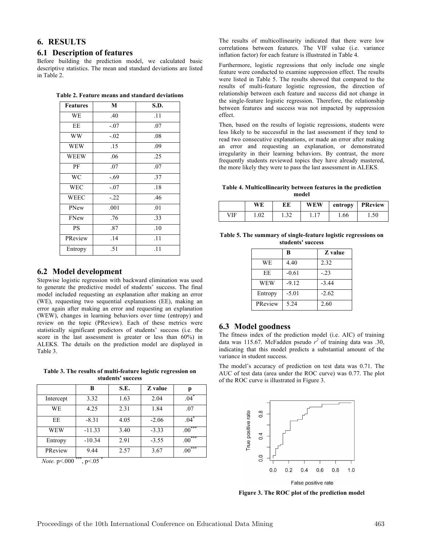# **6. RESULTS**

## **6.1 Description of features**

Before building the prediction model, we calculated basic descriptive statistics. The mean and standard deviations are listed in Table 2.

| <b>Features</b> | М      | S.D. |
|-----------------|--------|------|
| WE              | .40    |      |
| EЕ              | $-.07$ | .07  |
| WW              | $-.02$ | .08  |
| WEW             | .15    | .09  |

WEEW .06 1 .25 PF | .07 | .07 WC | -.69 | .37 WEC  $-07$  18 WEEC -.22 .46 PNew .001 .01 FNew .76 1 .33 PS .87 .10 PReview .14 .11 Entropy .51 .11

| Table 2. Feature means and standard deviations |  |  |
|------------------------------------------------|--|--|
|------------------------------------------------|--|--|

| 6.2 Model development |
|-----------------------|
|-----------------------|

Stepwise logistic regression with backward elimination was used to generate the predictive model of students' success. The final model included requesting an explanation after making an error (WE), requesting two sequential explanations (EE), making an error again after making an error and requesting an explanation (WEW), changes in learning behaviors over time (entropy) and review on the topic (PReview). Each of these metrics were statistically significant predictors of students' success (i.e. the score in the last assessment is greater or less than 60%) in ALEKS. The details on the prediction model are displayed in Table 3.

**Table 3. The results of multi-feature logistic regression on students' success**

|           | В        | S.E. | Z value | р                       |
|-----------|----------|------|---------|-------------------------|
| Intercept | 3.32     | 1.63 | 2.04    | .04                     |
| <b>WE</b> | 4.25     | 2.31 | 1.84    | .07                     |
| EE        | $-8.31$  | 4.05 | $-2.06$ | .04                     |
| WEW       | $-11.33$ | 3.40 | $-3.33$ | ***<br>.00 <sub>1</sub> |
| Entropy   | $-10.34$ | 2.91 | $-3.55$ | ***<br>.00              |
| PReview   | 9.44     | 2.57 | 3.67    | ***<br>.00              |

*Note.* p < 000<sup>\*\*\*</sup>, p < 05<sup>\*</sup>

The results of multicollinearity indicated that there were low correlations between features. The VIF value (i.e. variance inflation factor) for each feature is illustrated in Table 4.

Furthermore, logistic regressions that only include one single feature were conducted to examine suppression effect. The results were listed in Table 5. The results showed that compared to the results of multi-feature logistic regression, the direction of relationship between each feature and success did not change in the single-feature logistic regression. Therefore, the relationship between features and success was not impacted by suppression effect.

Then, based on the results of logistic regressions, students were less likely to be successful in the last assessment if they tend to read two consecutive explanations, or made an error after making an error and requesting an explanation, or demonstrated irregularity in their learning behaviors. By contrast, the more frequently students reviewed topics they have already mastered, the more likely they were to pass the last assessment in ALEKS.

**Table 4. Multicollinearity between features in the prediction model**

|     | WE   | ЕE  | WEW | entropy | <b>PReview</b> |
|-----|------|-----|-----|---------|----------------|
| VIF | 1.02 | ے ر |     | 1.66    | 1.50           |

**Table 5. The summary of single-feature logistic regressions on students' success**

|            | B       | Z value |
|------------|---------|---------|
| WE         | 4.40    | 2.32    |
| EE         | $-0.61$ | $-.23$  |
| <b>WEW</b> | $-9.12$ | $-3.44$ |
| Entropy    | $-5.01$ | $-2.62$ |
| PReview    | 5.24    | 2.60    |

## **6.3 Model goodness**

The fitness index of the prediction model (i.e. AIC) of training data was 115.67. McFadden pseudo  $r^2$  of training data was .30, indicating that this model predicts a substantial amount of the variance in student success.

The model's accuracy of prediction on test data was 0.71. The AUC of test data (area under the ROC curve) was 0.77. The plot of the ROC curve is illustrated in Figure 3.



**Figure 3. The ROC plot of the prediction model**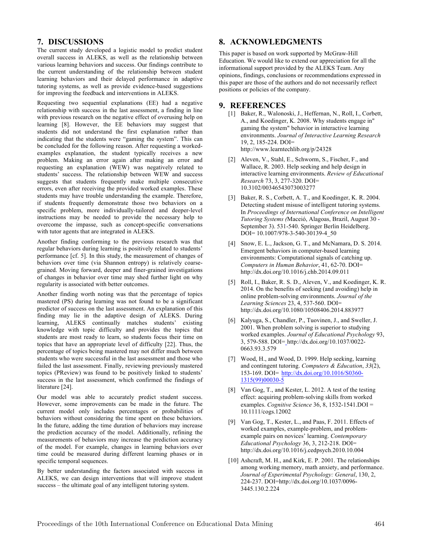## **7. DISCUSSIONS**

The current study developed a logistic model to predict student overall success in ALEKS, as well as the relationship between various learning behaviors and success. Our findings contribute to the current understanding of the relationship between student learning behaviors and their delayed performance in adaptive tutoring systems, as well as provide evidence-based suggestions for improving the feedback and interventions in ALEKS.

Requesting two sequential explanations (EE) had a negative relationship with success in the last assessment, a finding in line with previous research on the negative effect of overusing help on learning [8]. However, the EE behaviors may suggest that students did not understand the first explanation rather than indicating that the students were "gaming the system". This can be concluded for the following reason. After requesting a workedexamples explanation, the student typically receives a new problem. Making an error again after making an error and requesting an explanation (WEW) was negatively related to students' success. The relationship between WEW and success suggests that students frequently make multiple consecutive errors, even after receiving the provided worked examples. These students may have trouble understanding the example. Therefore, if students frequently demonstrate those two behaviors on a specific problem, more individually-tailored and deeper-level instructions may be needed to provide the necessary help to overcome the impasse, such as concept-specific conversations with tutor agents that are integrated in ALEKS.

Another finding conforming to the previous research was that regular behaviors during learning is positively related to students' performance [cf. 5]. In this study, the measurement of changes of behaviors over time (via Shannon entropy) is relatively coarsegrained. Moving forward, deeper and finer-grained investigations of changes in behavior over time may shed further light on why regularity is associated with better outcomes.

Another finding worth noting was that the percentage of topics mastered (PS) during learning was not found to be a significant predictor of success on the last assessment. An explanation of this finding may lie in the adaptive design of ALEKS. During learning, ALEKS continually matches students' existing knowledge with topic difficulty and provides the topics that students are most ready to learn, so students focus their time on topics that have an appropriate level of difficulty [22]. Thus, the percentage of topics being mastered may not differ much between students who were successful in the last assessment and those who failed the last assessment. Finally, reviewing previously mastered topics (PReview) was found to be positively linked to students' success in the last assessment, which confirmed the findings of literature [24].

Our model was able to accurately predict student success. However, some improvements can be made in the future. The current model only includes percentages or probabilities of behaviors without considering the time spent on these behaviors. In the future, adding the time duration of behaviors may increase the prediction accuracy of the model. Additionally, refining the measurements of behaviors may increase the prediction accuracy of the model. For example, changes in learning behaviors over time could be measured during different learning phases or in specific temporal sequences.

By better understanding the factors associated with success in ALEKS, we can design interventions that will improve student success – the ultimate goal of any intelligent tutoring system.

# **8. ACKNOWLEDGMENTS**

This paper is based on work supported by McGraw-Hill Education. We would like to extend our appreciation for all the informational support provided by the ALEKS Team. Any opinions, findings, conclusions or recommendations expressed in this paper are those of the authors and do not necessarily reflect positions or policies of the company.

## **9. REFERENCES**

- [1] Baker, R., Walonoski, J., Heffernan, N., Roll, I., Corbett, A., and Koedinger, K. 2008. Why students engage in" gaming the system" behavior in interactive learning environments. *Journal of Interactive Learning Research* 19, 2, 185-224. DOI= http://www.learntechlib.org/p/24328
- [2] Aleven, V., Stahl, E., Schworm, S., Fischer, F., and Wallace, R. 2003. Help seeking and help design in interactive learning environments. *Review of Educational Research* 73, 3, 277-320. DOI= 10.3102/00346543073003277
- [3] Baker, R. S., Corbett, A. T., and Koedinger, K. R. 2004. Detecting student misuse of intelligent tutoring systems. In *Proceedings of International Conference on Intelligent Tutoring Systems (*Maceió, Alagoas, Brazil, August 30 - September 3). 531-540. Springer Berlin Heidelberg. DOI= 10.1007/978-3-540-30139-4\_50
- [4] Snow, E. L., Jackson, G. T., and McNamara, D. S. 2014. Emergent behaviors in computer-based learning environments: Computational signals of catching up. *Computers in Human Behavior*, 41, 62-70. DOI= http://dx.doi.org/10.1016/j.chb.2014.09.011
- [5] Roll, I., Baker, R. S. D., Aleven, V., and Koedinger, K. R. 2014. On the benefits of seeking (and avoiding) help in online problem-solving environments. *Journal of the Learning Sciences* 23, 4, 537-560. DOI= http://dx.doi.org/10.1080/10508406.2014.883977
- [6] Kalyuga, S., Chandler, P., Tuovinen, J., and Sweller, J. 2001. When problem solving is superior to studying worked examples. *Journal of Educational Psychology* 93, 3, 579-588. DOI= http://dx.doi.org/10.1037/0022- 0663.93.3.579
- [7] Wood, H., and Wood, D. 1999. Help seeking, learning and contingent tutoring. *Computers & Education*, *33*(2), 153-169. DOI= http://dx.doi.org/10.1016/S0360- 1315(99)00030-5
- [8] Van Gog, T., and Kester, L. 2012. A test of the testing effect: acquiring problem-solving skills from worked examples. *Cognitive Science* 36, 8, 1532-1541.DOI = 10.1111/cogs.12002
- [9] Van Gog, T., Kester, L., and Paas, F. 2011. Effects of worked examples, example-problem, and problemexample pairs on novices' learning. *Contemporary Educational Psychology* 36, 3, 212-218. DOI= http://dx.doi.org/10.1016/j.cedpsych.2010.10.004
- [10] Ashcraft, M. H., and Kirk, E. P. 2001. The relationships among working memory, math anxiety, and performance. *Journal of Experimental Psychology: General*, 130, 2, 224-237. DOI=http://dx.doi.org/10.1037/0096- 3445.130.2.224